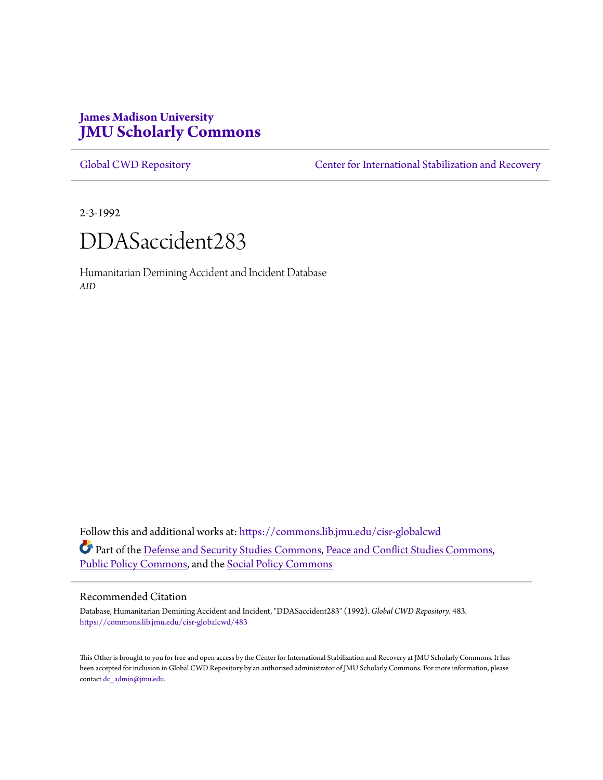# **James Madison University [JMU Scholarly Commons](https://commons.lib.jmu.edu?utm_source=commons.lib.jmu.edu%2Fcisr-globalcwd%2F483&utm_medium=PDF&utm_campaign=PDFCoverPages)**

[Global CWD Repository](https://commons.lib.jmu.edu/cisr-globalcwd?utm_source=commons.lib.jmu.edu%2Fcisr-globalcwd%2F483&utm_medium=PDF&utm_campaign=PDFCoverPages) **[Center for International Stabilization and Recovery](https://commons.lib.jmu.edu/cisr?utm_source=commons.lib.jmu.edu%2Fcisr-globalcwd%2F483&utm_medium=PDF&utm_campaign=PDFCoverPages)** 

2-3-1992



Humanitarian Demining Accident and Incident Database *AID*

Follow this and additional works at: [https://commons.lib.jmu.edu/cisr-globalcwd](https://commons.lib.jmu.edu/cisr-globalcwd?utm_source=commons.lib.jmu.edu%2Fcisr-globalcwd%2F483&utm_medium=PDF&utm_campaign=PDFCoverPages) Part of the [Defense and Security Studies Commons](http://network.bepress.com/hgg/discipline/394?utm_source=commons.lib.jmu.edu%2Fcisr-globalcwd%2F483&utm_medium=PDF&utm_campaign=PDFCoverPages), [Peace and Conflict Studies Commons](http://network.bepress.com/hgg/discipline/397?utm_source=commons.lib.jmu.edu%2Fcisr-globalcwd%2F483&utm_medium=PDF&utm_campaign=PDFCoverPages), [Public Policy Commons,](http://network.bepress.com/hgg/discipline/400?utm_source=commons.lib.jmu.edu%2Fcisr-globalcwd%2F483&utm_medium=PDF&utm_campaign=PDFCoverPages) and the [Social Policy Commons](http://network.bepress.com/hgg/discipline/1030?utm_source=commons.lib.jmu.edu%2Fcisr-globalcwd%2F483&utm_medium=PDF&utm_campaign=PDFCoverPages)

#### Recommended Citation

Database, Humanitarian Demining Accident and Incident, "DDASaccident283" (1992). *Global CWD Repository*. 483. [https://commons.lib.jmu.edu/cisr-globalcwd/483](https://commons.lib.jmu.edu/cisr-globalcwd/483?utm_source=commons.lib.jmu.edu%2Fcisr-globalcwd%2F483&utm_medium=PDF&utm_campaign=PDFCoverPages)

This Other is brought to you for free and open access by the Center for International Stabilization and Recovery at JMU Scholarly Commons. It has been accepted for inclusion in Global CWD Repository by an authorized administrator of JMU Scholarly Commons. For more information, please contact [dc\\_admin@jmu.edu.](mailto:dc_admin@jmu.edu)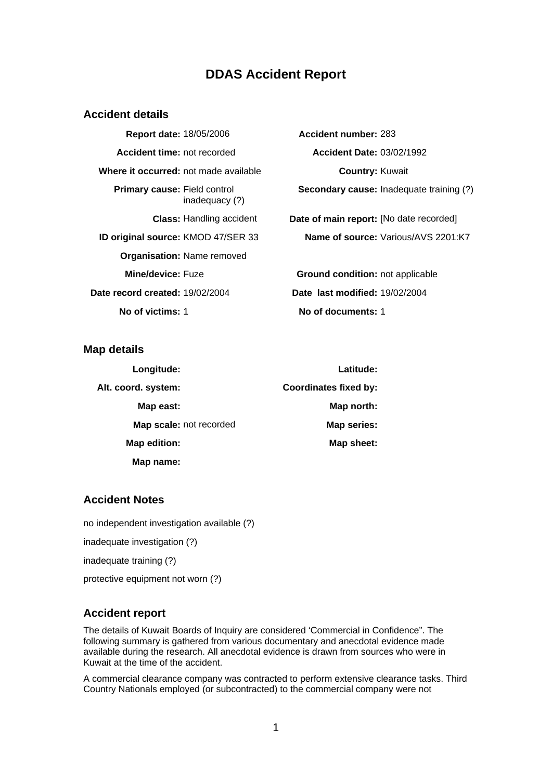## **DDAS Accident Report**

#### **Accident details**

**Report date:** 18/05/2006 **Accident number:** 283 **Accident time:** not recorded **Accident Date:** 03/02/1992 **Where it occurred:** not made available **Country:** Kuwait **Primary cause:** Field control inadequacy (?) **Organisation:** Name removed **Date record created:** 19/02/2004 **Date last modified:** 19/02/2004 **No of victims:** 1 **No of documents:** 1

**Secondary cause:** Inadequate training (?)

**Class:** Handling accident **Date of main report:** [No date recorded] **ID original source:** KMOD 47/SER 33 **Name of source:** Various/AVS 2201:K7

**Mine/device:** Fuze **Ground condition:** not applicable

**Map details** 

| Longitude:              | Latitude:                    |
|-------------------------|------------------------------|
| Alt. coord. system:     | <b>Coordinates fixed by:</b> |
| Map east:               | Map north:                   |
| Map scale: not recorded | Map series:                  |
| Map edition:            | Map sheet:                   |
| Map name:               |                              |

## **Accident Notes**

no independent investigation available (?)

inadequate investigation (?)

inadequate training (?)

protective equipment not worn (?)

## **Accident report**

The details of Kuwait Boards of Inquiry are considered 'Commercial in Confidence". The following summary is gathered from various documentary and anecdotal evidence made available during the research. All anecdotal evidence is drawn from sources who were in Kuwait at the time of the accident.

A commercial clearance company was contracted to perform extensive clearance tasks. Third Country Nationals employed (or subcontracted) to the commercial company were not